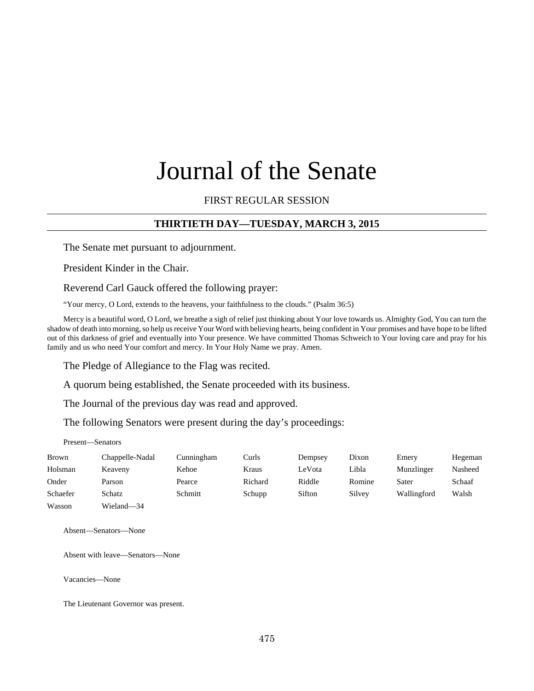# Journal of the Senate

#### FIRST REGULAR SESSION

# **THIRTIETH DAY—TUESDAY, MARCH 3, 2015**

The Senate met pursuant to adjournment.

President Kinder in the Chair.

Reverend Carl Gauck offered the following prayer:

"Your mercy, O Lord, extends to the heavens, your faithfulness to the clouds." (Psalm 36:5)

Mercy is a beautiful word, O Lord, we breathe a sigh of relief just thinking about Your love towards us. Almighty God, You can turn the shadow of death into morning, so help us receive Your Word with believing hearts, being confident in Your promises and have hope to be lifted out of this darkness of grief and eventually into Your presence. We have committed Thomas Schweich to Your loving care and pray for his family and us who need Your comfort and mercy. In Your Holy Name we pray. Amen.

The Pledge of Allegiance to the Flag was recited.

A quorum being established, the Senate proceeded with its business.

The Journal of the previous day was read and approved.

The following Senators were present during the day's proceedings:

Present—Senators

| <b>Brown</b> | Chappelle-Nadal | Cunningham | Curls   | Dempsey | Dixon  | Emery       | Hegeman |
|--------------|-----------------|------------|---------|---------|--------|-------------|---------|
| Holsman      | Keaveny         | Kehoe      | Kraus   | LeVota  | Libla  | Munzlinger  | Nasheed |
| Onder        | Parson          | Pearce     | Richard | Riddle  | Romine | Sater       | Schaaf  |
| Schaefer     | Schatz          | Schmitt    | Schupp  | Sifton  | Silvey | Wallingford | Walsh   |
| Wasson       | Wieland-34      |            |         |         |        |             |         |

Absent—Senators—None

Absent with leave—Senators—None

Vacancies—None

The Lieutenant Governor was present.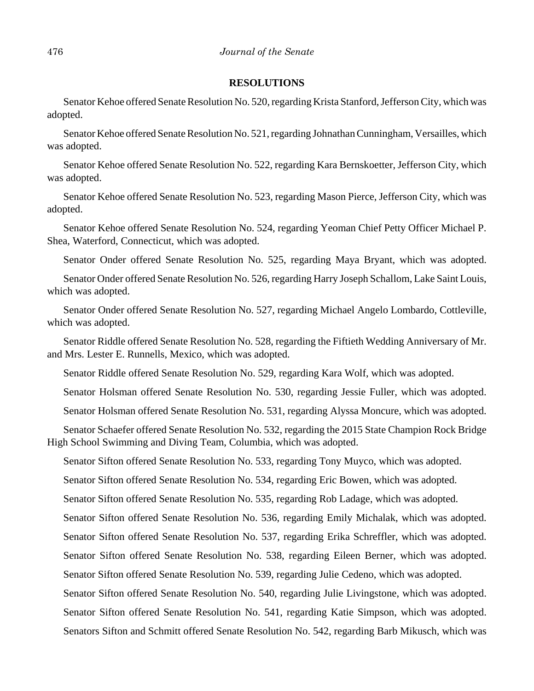#### **RESOLUTIONS**

Senator Kehoe offered Senate Resolution No. 520, regarding Krista Stanford, Jefferson City, which was adopted.

Senator Kehoe offered Senate Resolution No. 521, regarding Johnathan Cunningham, Versailles, which was adopted.

Senator Kehoe offered Senate Resolution No. 522, regarding Kara Bernskoetter, Jefferson City, which was adopted.

Senator Kehoe offered Senate Resolution No. 523, regarding Mason Pierce, Jefferson City, which was adopted.

Senator Kehoe offered Senate Resolution No. 524, regarding Yeoman Chief Petty Officer Michael P. Shea, Waterford, Connecticut, which was adopted.

Senator Onder offered Senate Resolution No. 525, regarding Maya Bryant, which was adopted.

Senator Onder offered Senate Resolution No. 526, regarding Harry Joseph Schallom, Lake Saint Louis, which was adopted.

Senator Onder offered Senate Resolution No. 527, regarding Michael Angelo Lombardo, Cottleville, which was adopted.

Senator Riddle offered Senate Resolution No. 528, regarding the Fiftieth Wedding Anniversary of Mr. and Mrs. Lester E. Runnells, Mexico, which was adopted.

Senator Riddle offered Senate Resolution No. 529, regarding Kara Wolf, which was adopted.

Senator Holsman offered Senate Resolution No. 530, regarding Jessie Fuller, which was adopted.

Senator Holsman offered Senate Resolution No. 531, regarding Alyssa Moncure, which was adopted.

Senator Schaefer offered Senate Resolution No. 532, regarding the 2015 State Champion Rock Bridge High School Swimming and Diving Team, Columbia, which was adopted.

Senator Sifton offered Senate Resolution No. 533, regarding Tony Muyco, which was adopted.

Senator Sifton offered Senate Resolution No. 534, regarding Eric Bowen, which was adopted.

Senator Sifton offered Senate Resolution No. 535, regarding Rob Ladage, which was adopted.

Senator Sifton offered Senate Resolution No. 536, regarding Emily Michalak, which was adopted.

Senator Sifton offered Senate Resolution No. 537, regarding Erika Schreffler, which was adopted.

Senator Sifton offered Senate Resolution No. 538, regarding Eileen Berner, which was adopted.

Senator Sifton offered Senate Resolution No. 539, regarding Julie Cedeno, which was adopted.

Senator Sifton offered Senate Resolution No. 540, regarding Julie Livingstone, which was adopted. Senator Sifton offered Senate Resolution No. 541, regarding Katie Simpson, which was adopted.

Senators Sifton and Schmitt offered Senate Resolution No. 542, regarding Barb Mikusch, which was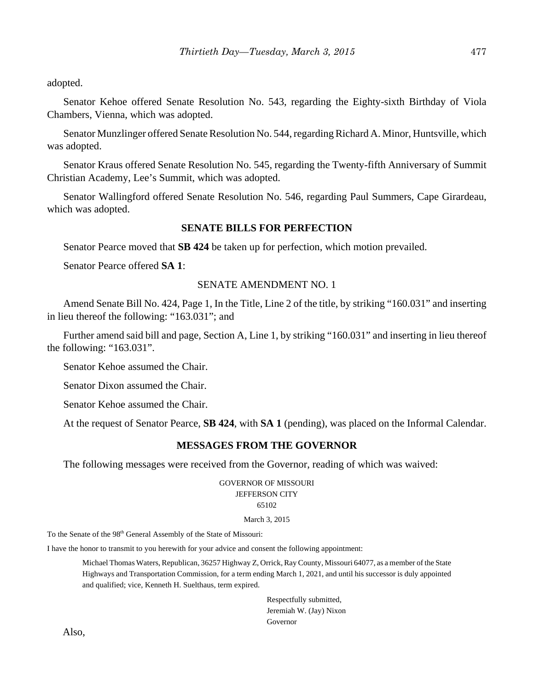adopted.

Senator Kehoe offered Senate Resolution No. 543, regarding the Eighty-sixth Birthday of Viola Chambers, Vienna, which was adopted.

Senator Munzlinger offered Senate Resolution No. 544, regarding Richard A. Minor, Huntsville, which was adopted.

Senator Kraus offered Senate Resolution No. 545, regarding the Twenty-fifth Anniversary of Summit Christian Academy, Lee's Summit, which was adopted.

Senator Wallingford offered Senate Resolution No. 546, regarding Paul Summers, Cape Girardeau, which was adopted.

## **SENATE BILLS FOR PERFECTION**

Senator Pearce moved that **SB 424** be taken up for perfection, which motion prevailed.

Senator Pearce offered **SA 1**:

## SENATE AMENDMENT NO. 1

Amend Senate Bill No. 424, Page 1, In the Title, Line 2 of the title, by striking "160.031" and inserting in lieu thereof the following: "163.031"; and

Further amend said bill and page, Section A, Line 1, by striking "160.031" and inserting in lieu thereof the following: "163.031".

Senator Kehoe assumed the Chair.

Senator Dixon assumed the Chair.

Senator Kehoe assumed the Chair.

At the request of Senator Pearce, **SB 424**, with **SA 1** (pending), was placed on the Informal Calendar.

#### **MESSAGES FROM THE GOVERNOR**

The following messages were received from the Governor, reading of which was waived:

GOVERNOR OF MISSOURI JEFFERSON CITY 65102

March 3, 2015

To the Senate of the 98<sup>th</sup> General Assembly of the State of Missouri:

I have the honor to transmit to you herewith for your advice and consent the following appointment:

Michael Thomas Waters, Republican, 36257 Highway Z, Orrick, Ray County, Missouri 64077, as a member of the State Highways and Transportation Commission, for a term ending March 1, 2021, and until his successor is duly appointed and qualified; vice, Kenneth H. Suelthaus, term expired.

> Respectfully submitted, Jeremiah W. (Jay) Nixon Governor

Also,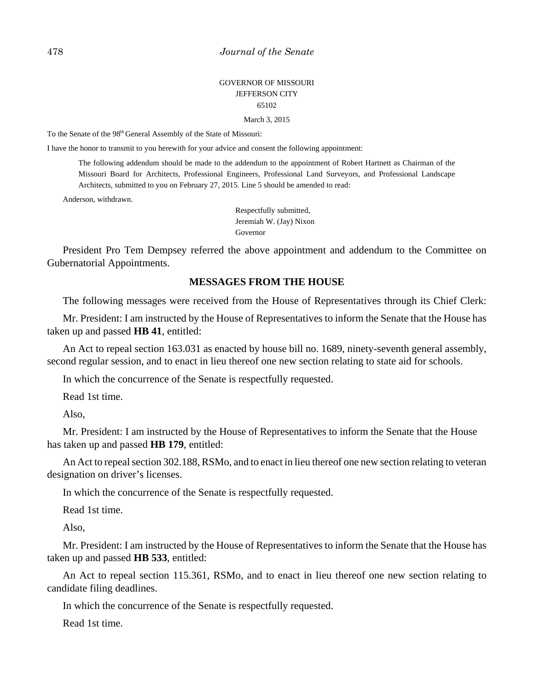## GOVERNOR OF MISSOURI JEFFERSON CITY 65102

March 3, 2015

To the Senate of the 98<sup>th</sup> General Assembly of the State of Missouri:

I have the honor to transmit to you herewith for your advice and consent the following appointment:

The following addendum should be made to the addendum to the appointment of Robert Hartnett as Chairman of the Missouri Board for Architects, Professional Engineers, Professional Land Surveyors, and Professional Landscape Architects, submitted to you on February 27, 2015. Line 5 should be amended to read:

Anderson, withdrawn.

Respectfully submitted, Jeremiah W. (Jay) Nixon Governor

President Pro Tem Dempsey referred the above appointment and addendum to the Committee on Gubernatorial Appointments.

#### **MESSAGES FROM THE HOUSE**

The following messages were received from the House of Representatives through its Chief Clerk:

Mr. President: I am instructed by the House of Representatives to inform the Senate that the House has taken up and passed **HB 41**, entitled:

An Act to repeal section 163.031 as enacted by house bill no. 1689, ninety-seventh general assembly, second regular session, and to enact in lieu thereof one new section relating to state aid for schools.

In which the concurrence of the Senate is respectfully requested.

Read 1st time.

Also,

Mr. President: I am instructed by the House of Representatives to inform the Senate that the House has taken up and passed **HB 179**, entitled:

An Act to repeal section 302.188, RSMo, and to enact in lieu thereof one new section relating to veteran designation on driver's licenses.

In which the concurrence of the Senate is respectfully requested.

Read 1st time.

Also,

Mr. President: I am instructed by the House of Representatives to inform the Senate that the House has taken up and passed **HB 533**, entitled:

An Act to repeal section 115.361, RSMo, and to enact in lieu thereof one new section relating to candidate filing deadlines.

In which the concurrence of the Senate is respectfully requested.

Read 1st time.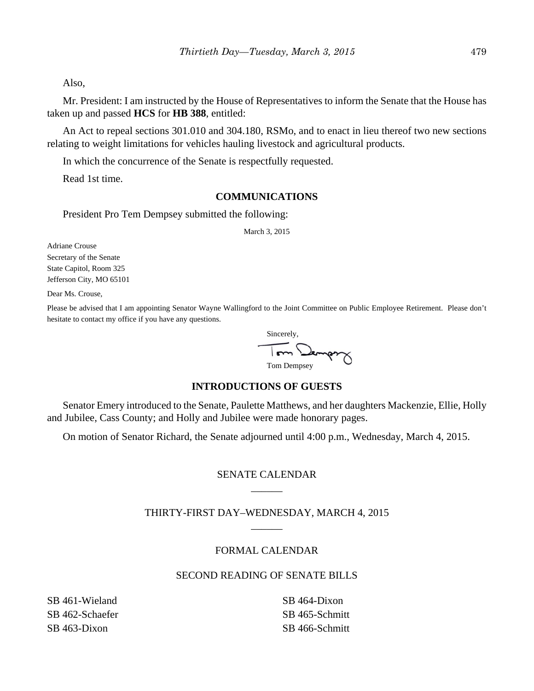Also,

Mr. President: I am instructed by the House of Representatives to inform the Senate that the House has taken up and passed **HCS** for **HB 388**, entitled:

An Act to repeal sections 301.010 and 304.180, RSMo, and to enact in lieu thereof two new sections relating to weight limitations for vehicles hauling livestock and agricultural products.

In which the concurrence of the Senate is respectfully requested.

Read 1st time.

## **COMMUNICATIONS**

President Pro Tem Dempsey submitted the following:

March 3, 2015

Adriane Crouse Secretary of the Senate State Capitol, Room 325 Jefferson City, MO 65101

Dear Ms. Crouse,

Please be advised that I am appointing Senator Wayne Wallingford to the Joint Committee on Public Employee Retirement. Please don't hesitate to contact my office if you have any questions.

 Sincerely, Tom Dempoy

# **INTRODUCTIONS OF GUESTS**

Senator Emery introduced to the Senate, Paulette Matthews, and her daughters Mackenzie, Ellie, Holly and Jubilee, Cass County; and Holly and Jubilee were made honorary pages.

On motion of Senator Richard, the Senate adjourned until 4:00 p.m., Wednesday, March 4, 2015.

# SENATE CALENDAR \_\_\_\_\_\_

# THIRTY-FIRST DAY–WEDNESDAY, MARCH 4, 2015  $\overline{\phantom{a}}$

## FORMAL CALENDAR

## SECOND READING OF SENATE BILLS

SB 461-Wieland SB 462-Schaefer SB 463-Dixon

SB 464-Dixon SB 465-Schmitt SB 466-Schmitt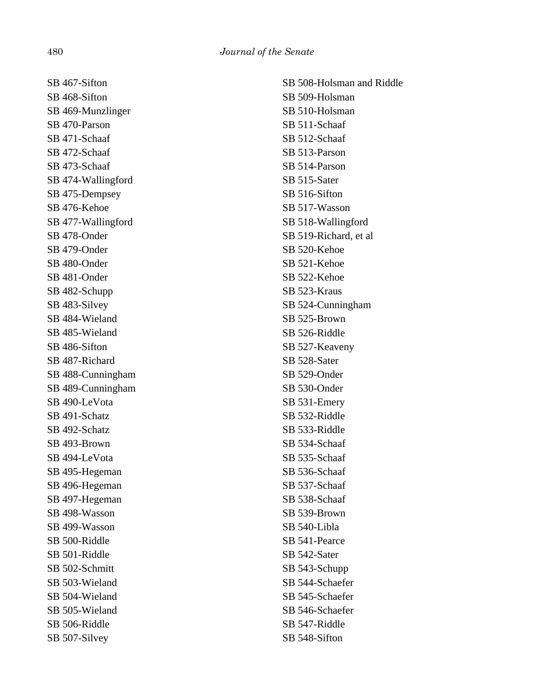SB 467-Sifton SB 468-Sifton SB 469-Munzlinger SB 470-Parson SB 471-Schaaf SB 472-Schaaf SB 473-Schaaf SB 474-Wallingford SB 475-Dempsey SB 476-Kehoe SB 477-Wallingford SB 478-Onder SB 479-Onder SB 480-Onder SB 481-Onder SB 482-Schupp SB 483-Silvey SB 484-Wieland SB 485-Wieland SB 486-Sifton SB 487-Richard SB 488-Cunningham SB 489-Cunningham SB 490-LeVota SB 491-Schatz SB 492-Schatz SB 493-Brown SB 494-LeVota SB 495-Hegeman SB 496-Hegeman SB 497-Hegeman SB 498-Wasson SB 499-Wasson SB 500-Riddle SB 501-Riddle SB 502-Schmitt SB 503-Wieland SB 504-Wieland SB 505-Wieland SB 506-Riddle SB 507-Silvey

SB 508-Holsman and Riddle SB 509-Holsman SB 510-Holsman SB 511-Schaaf SB 512-Schaaf SB 513-Parson SB 514-Parson SB 515-Sater SB 516-Sifton SB 517-Wasson SB 518-Wallingford SB 519-Richard, et al SB 520-Kehoe SB 521-Kehoe SB 522-Kehoe SB 523-Kraus SB 524-Cunningham SB 525-Brown SB 526-Riddle SB 527-Keaveny SB 528-Sater SB 529-Onder SB 530-Onder SB 531-Emery SB 532-Riddle SB 533-Riddle SB 534-Schaaf SB 535-Schaaf SB 536-Schaaf SB 537-Schaaf SB 538-Schaaf SB 539-Brown SB 540-Libla SB 541-Pearce SB 542-Sater SB 543-Schupp SB 544-Schaefer SB 545-Schaefer SB 546-Schaefer SB 547-Riddle SB 548-Sifton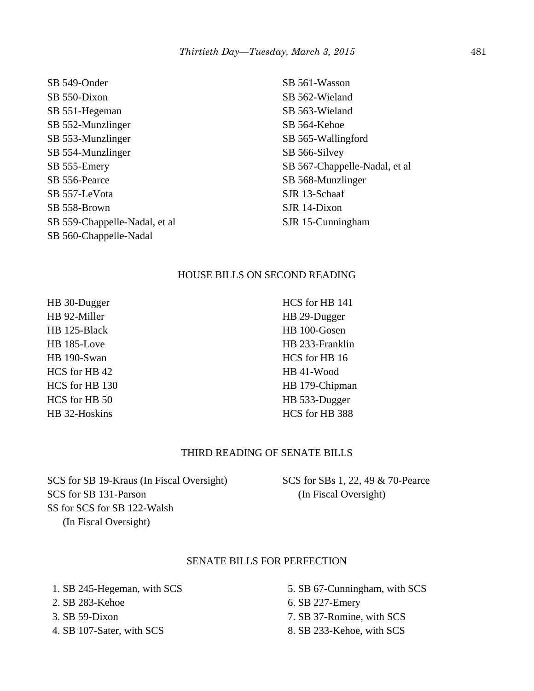SB 549-Onder SB 550-Dixon SB 551-Hegeman SB 552-Munzlinger SB 553-Munzlinger SB 554-Munzlinger SB 555-Emery SB 556-Pearce SB 557-LeVota SB 558-Brown SB 559-Chappelle-Nadal, et al SB 560-Chappelle-Nadal

SB 561-Wasson SB 562-Wieland SB 563-Wieland SB 564-Kehoe SB 565-Wallingford SB 566-Silvey SB 567-Chappelle-Nadal, et al SB 568-Munzlinger SJR 13-Schaaf SJR 14-Dixon SJR 15-Cunningham

#### HOUSE BILLS ON SECOND READING

HB 30-Dugger HB 92-Miller HB 125-Black HB 185-Love HB 190-Swan HCS for HB 42 HCS for HB 130 HCS for HB 50 HB 32-Hoskins

HCS for HB 141 HB 29-Dugger HB 100-Gosen HB 233-Franklin HCS for HB 16 HB 41-Wood HB 179-Chipman HB 533-Dugger HCS for HB 388

#### THIRD READING OF SENATE BILLS

SCS for SB 19-Kraus (In Fiscal Oversight) SCS for SB 131-Parson SS for SCS for SB 122-Walsh (In Fiscal Oversight)

SCS for SBs 1, 22, 49 & 70-Pearce (In Fiscal Oversight)

#### SENATE BILLS FOR PERFECTION

 1. SB 245-Hegeman, with SCS 2. SB 283-Kehoe 3. SB 59-Dixon 4. SB 107-Sater, with SCS

 5. SB 67-Cunningham, with SCS 6. SB 227-Emery 7. SB 37-Romine, with SCS 8. SB 233-Kehoe, with SCS